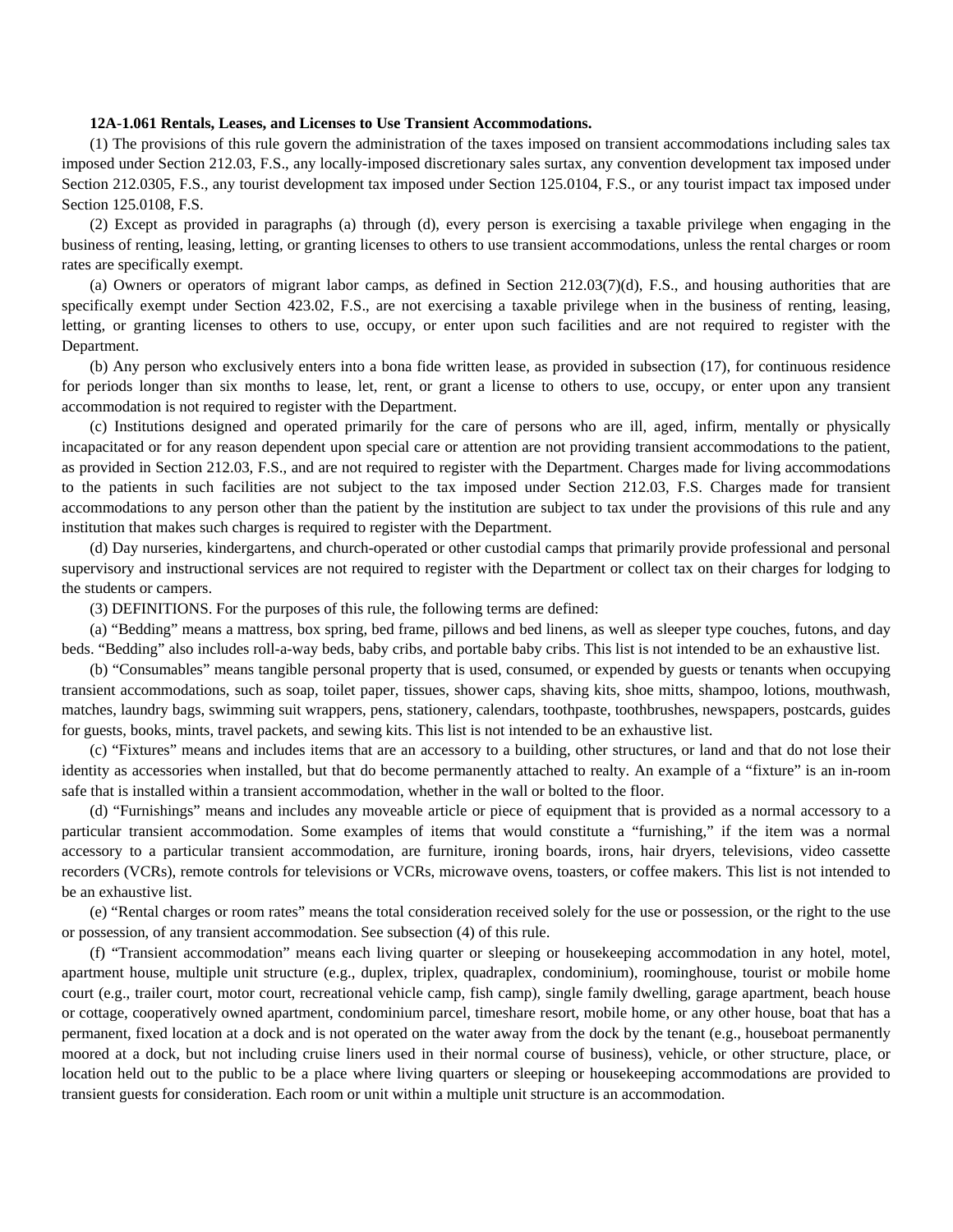### **12A-1.061 Rentals, Leases, and Licenses to Use Transient Accommodations.**

(1) The provisions of this rule govern the administration of the taxes imposed on transient accommodations including sales tax imposed under Section 212.03, F.S., any locally-imposed discretionary sales surtax, any convention development tax imposed under Section 212.0305, F.S., any tourist development tax imposed under Section 125.0104, F.S., or any tourist impact tax imposed under Section 125.0108, F.S.

(2) Except as provided in paragraphs (a) through (d), every person is exercising a taxable privilege when engaging in the business of renting, leasing, letting, or granting licenses to others to use transient accommodations, unless the rental charges or room rates are specifically exempt.

(a) Owners or operators of migrant labor camps, as defined in Section 212.03(7)(d), F.S., and housing authorities that are specifically exempt under Section 423.02, F.S., are not exercising a taxable privilege when in the business of renting, leasing, letting, or granting licenses to others to use, occupy, or enter upon such facilities and are not required to register with the Department.

(b) Any person who exclusively enters into a bona fide written lease, as provided in subsection (17), for continuous residence for periods longer than six months to lease, let, rent, or grant a license to others to use, occupy, or enter upon any transient accommodation is not required to register with the Department.

(c) Institutions designed and operated primarily for the care of persons who are ill, aged, infirm, mentally or physically incapacitated or for any reason dependent upon special care or attention are not providing transient accommodations to the patient, as provided in Section 212.03, F.S., and are not required to register with the Department. Charges made for living accommodations to the patients in such facilities are not subject to the tax imposed under Section 212.03, F.S. Charges made for transient accommodations to any person other than the patient by the institution are subject to tax under the provisions of this rule and any institution that makes such charges is required to register with the Department.

(d) Day nurseries, kindergartens, and church-operated or other custodial camps that primarily provide professional and personal supervisory and instructional services are not required to register with the Department or collect tax on their charges for lodging to the students or campers.

(3) DEFINITIONS. For the purposes of this rule, the following terms are defined:

(a) "Bedding" means a mattress, box spring, bed frame, pillows and bed linens, as well as sleeper type couches, futons, and day beds. "Bedding" also includes roll-a-way beds, baby cribs, and portable baby cribs. This list is not intended to be an exhaustive list.

(b) "Consumables" means tangible personal property that is used, consumed, or expended by guests or tenants when occupying transient accommodations, such as soap, toilet paper, tissues, shower caps, shaving kits, shoe mitts, shampoo, lotions, mouthwash, matches, laundry bags, swimming suit wrappers, pens, stationery, calendars, toothpaste, toothbrushes, newspapers, postcards, guides for guests, books, mints, travel packets, and sewing kits. This list is not intended to be an exhaustive list.

(c) "Fixtures" means and includes items that are an accessory to a building, other structures, or land and that do not lose their identity as accessories when installed, but that do become permanently attached to realty. An example of a "fixture" is an in-room safe that is installed within a transient accommodation, whether in the wall or bolted to the floor.

(d) "Furnishings" means and includes any moveable article or piece of equipment that is provided as a normal accessory to a particular transient accommodation. Some examples of items that would constitute a "furnishing," if the item was a normal accessory to a particular transient accommodation, are furniture, ironing boards, irons, hair dryers, televisions, video cassette recorders (VCRs), remote controls for televisions or VCRs, microwave ovens, toasters, or coffee makers. This list is not intended to be an exhaustive list.

(e) "Rental charges or room rates" means the total consideration received solely for the use or possession, or the right to the use or possession, of any transient accommodation. See subsection (4) of this rule.

(f) "Transient accommodation" means each living quarter or sleeping or housekeeping accommodation in any hotel, motel, apartment house, multiple unit structure (e.g., duplex, triplex, quadraplex, condominium), roominghouse, tourist or mobile home court (e.g., trailer court, motor court, recreational vehicle camp, fish camp), single family dwelling, garage apartment, beach house or cottage, cooperatively owned apartment, condominium parcel, timeshare resort, mobile home, or any other house, boat that has a permanent, fixed location at a dock and is not operated on the water away from the dock by the tenant (e.g., houseboat permanently moored at a dock, but not including cruise liners used in their normal course of business), vehicle, or other structure, place, or location held out to the public to be a place where living quarters or sleeping or housekeeping accommodations are provided to transient guests for consideration. Each room or unit within a multiple unit structure is an accommodation.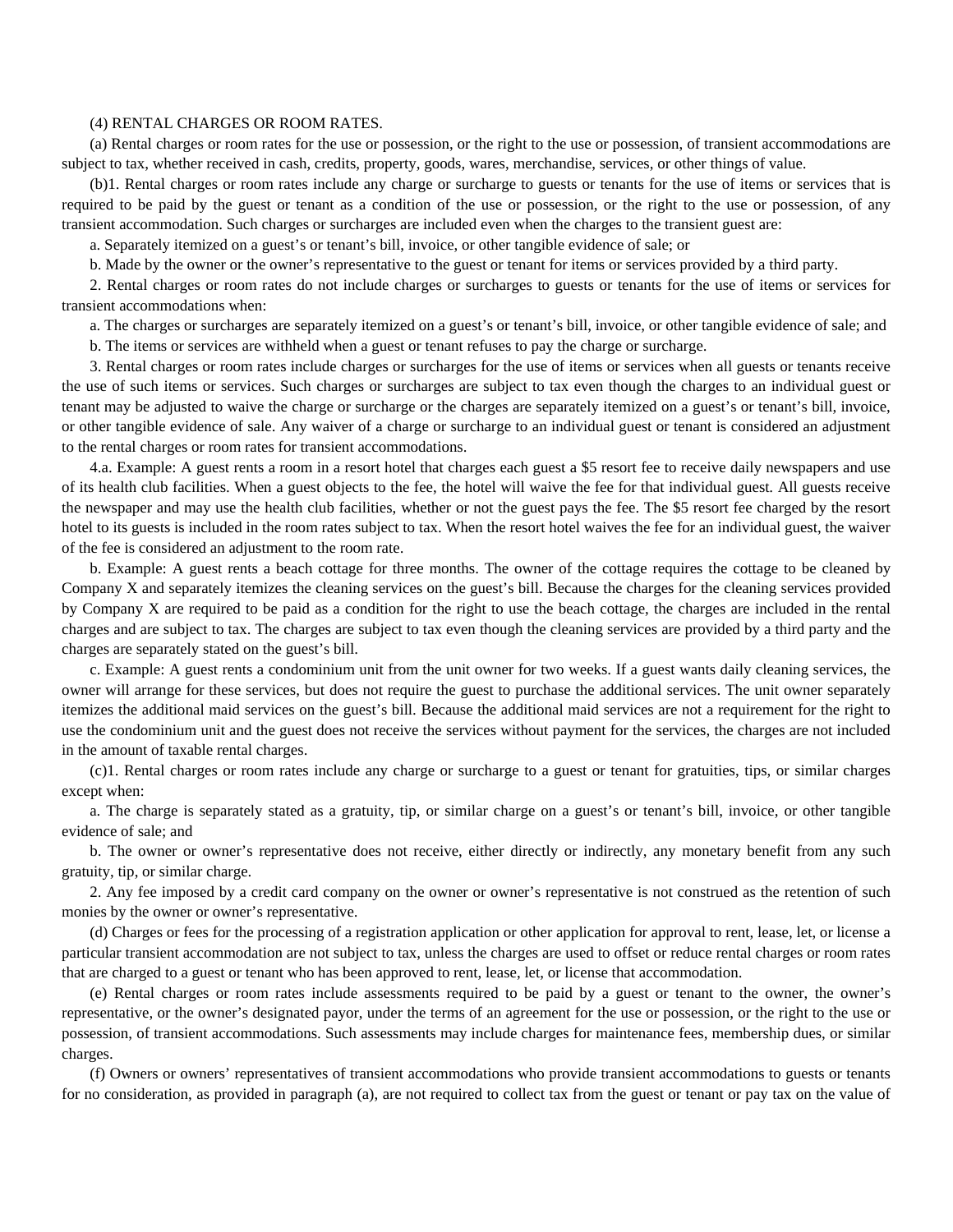### (4) RENTAL CHARGES OR ROOM RATES.

(a) Rental charges or room rates for the use or possession, or the right to the use or possession, of transient accommodations are subject to tax, whether received in cash, credits, property, goods, wares, merchandise, services, or other things of value.

(b)1. Rental charges or room rates include any charge or surcharge to guests or tenants for the use of items or services that is required to be paid by the guest or tenant as a condition of the use or possession, or the right to the use or possession, of any transient accommodation. Such charges or surcharges are included even when the charges to the transient guest are:

a. Separately itemized on a guest's or tenant's bill, invoice, or other tangible evidence of sale; or

b. Made by the owner or the owner's representative to the guest or tenant for items or services provided by a third party.

2. Rental charges or room rates do not include charges or surcharges to guests or tenants for the use of items or services for transient accommodations when:

a. The charges or surcharges are separately itemized on a guest's or tenant's bill, invoice, or other tangible evidence of sale; and

b. The items or services are withheld when a guest or tenant refuses to pay the charge or surcharge.

3. Rental charges or room rates include charges or surcharges for the use of items or services when all guests or tenants receive the use of such items or services. Such charges or surcharges are subject to tax even though the charges to an individual guest or tenant may be adjusted to waive the charge or surcharge or the charges are separately itemized on a guest's or tenant's bill, invoice, or other tangible evidence of sale. Any waiver of a charge or surcharge to an individual guest or tenant is considered an adjustment to the rental charges or room rates for transient accommodations.

4.a. Example: A guest rents a room in a resort hotel that charges each guest a \$5 resort fee to receive daily newspapers and use of its health club facilities. When a guest objects to the fee, the hotel will waive the fee for that individual guest. All guests receive the newspaper and may use the health club facilities, whether or not the guest pays the fee. The \$5 resort fee charged by the resort hotel to its guests is included in the room rates subject to tax. When the resort hotel waives the fee for an individual guest, the waiver of the fee is considered an adjustment to the room rate.

b. Example: A guest rents a beach cottage for three months. The owner of the cottage requires the cottage to be cleaned by Company X and separately itemizes the cleaning services on the guest's bill. Because the charges for the cleaning services provided by Company X are required to be paid as a condition for the right to use the beach cottage, the charges are included in the rental charges and are subject to tax. The charges are subject to tax even though the cleaning services are provided by a third party and the charges are separately stated on the guest's bill.

c. Example: A guest rents a condominium unit from the unit owner for two weeks. If a guest wants daily cleaning services, the owner will arrange for these services, but does not require the guest to purchase the additional services. The unit owner separately itemizes the additional maid services on the guest's bill. Because the additional maid services are not a requirement for the right to use the condominium unit and the guest does not receive the services without payment for the services, the charges are not included in the amount of taxable rental charges.

(c)1. Rental charges or room rates include any charge or surcharge to a guest or tenant for gratuities, tips, or similar charges except when:

a. The charge is separately stated as a gratuity, tip, or similar charge on a guest's or tenant's bill, invoice, or other tangible evidence of sale; and

b. The owner or owner's representative does not receive, either directly or indirectly, any monetary benefit from any such gratuity, tip, or similar charge.

2. Any fee imposed by a credit card company on the owner or owner's representative is not construed as the retention of such monies by the owner or owner's representative.

(d) Charges or fees for the processing of a registration application or other application for approval to rent, lease, let, or license a particular transient accommodation are not subject to tax, unless the charges are used to offset or reduce rental charges or room rates that are charged to a guest or tenant who has been approved to rent, lease, let, or license that accommodation.

(e) Rental charges or room rates include assessments required to be paid by a guest or tenant to the owner, the owner's representative, or the owner's designated payor, under the terms of an agreement for the use or possession, or the right to the use or possession, of transient accommodations. Such assessments may include charges for maintenance fees, membership dues, or similar charges.

(f) Owners or owners' representatives of transient accommodations who provide transient accommodations to guests or tenants for no consideration, as provided in paragraph (a), are not required to collect tax from the guest or tenant or pay tax on the value of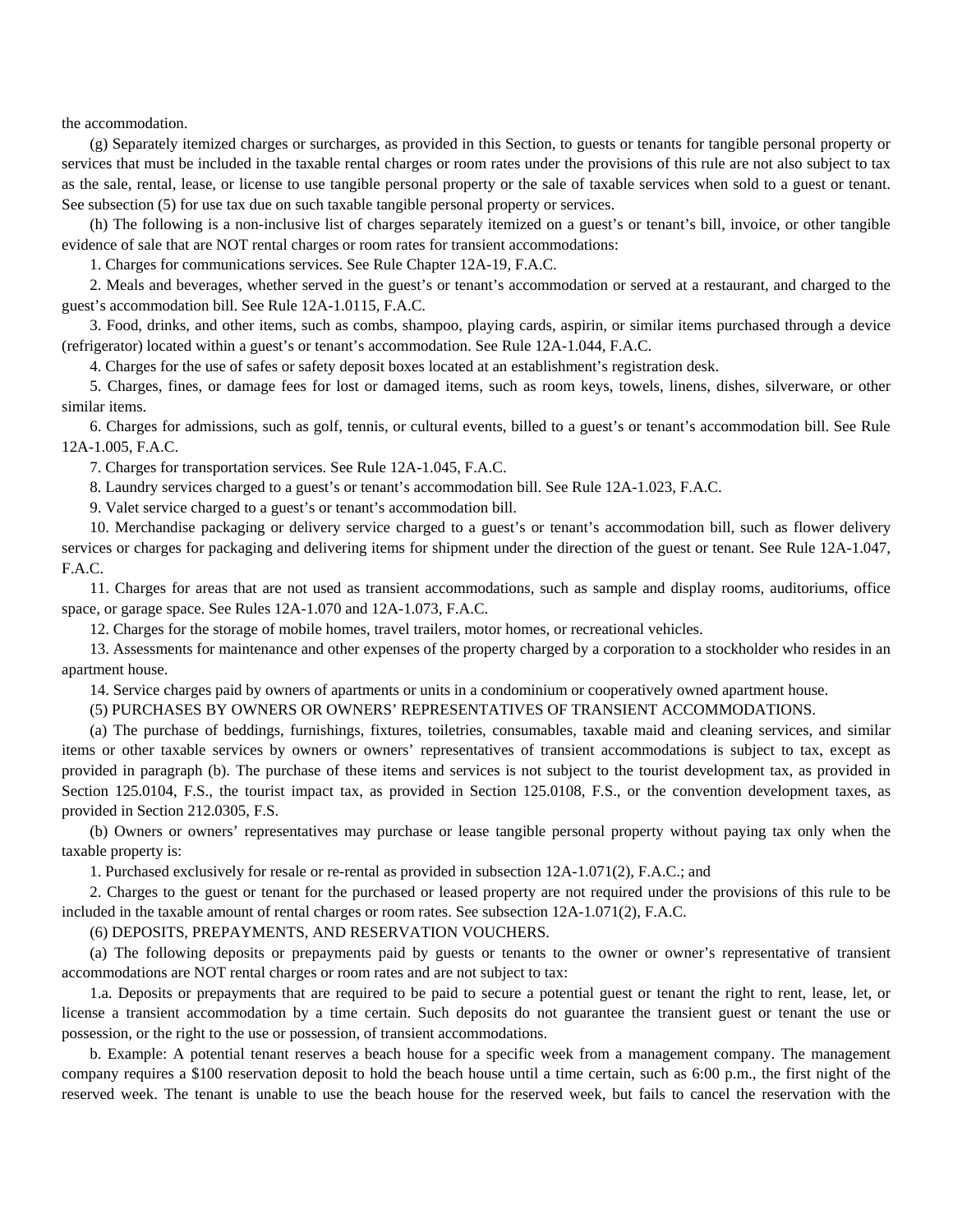the accommodation.

(g) Separately itemized charges or surcharges, as provided in this Section, to guests or tenants for tangible personal property or services that must be included in the taxable rental charges or room rates under the provisions of this rule are not also subject to tax as the sale, rental, lease, or license to use tangible personal property or the sale of taxable services when sold to a guest or tenant. See subsection (5) for use tax due on such taxable tangible personal property or services.

(h) The following is a non-inclusive list of charges separately itemized on a guest's or tenant's bill, invoice, or other tangible evidence of sale that are NOT rental charges or room rates for transient accommodations:

1. Charges for communications services. See Rule Chapter 12A-19, F.A.C.

2. Meals and beverages, whether served in the guest's or tenant's accommodation or served at a restaurant, and charged to the guest's accommodation bill. See Rule 12A-1.0115, F.A.C.

3. Food, drinks, and other items, such as combs, shampoo, playing cards, aspirin, or similar items purchased through a device (refrigerator) located within a guest's or tenant's accommodation. See Rule 12A-1.044, F.A.C.

4. Charges for the use of safes or safety deposit boxes located at an establishment's registration desk.

5. Charges, fines, or damage fees for lost or damaged items, such as room keys, towels, linens, dishes, silverware, or other similar items.

6. Charges for admissions, such as golf, tennis, or cultural events, billed to a guest's or tenant's accommodation bill. See Rule 12A-1.005, F.A.C.

7. Charges for transportation services. See Rule 12A-1.045, F.A.C.

8. Laundry services charged to a guest's or tenant's accommodation bill. See Rule 12A-1.023, F.A.C.

9. Valet service charged to a guest's or tenant's accommodation bill.

10. Merchandise packaging or delivery service charged to a guest's or tenant's accommodation bill, such as flower delivery services or charges for packaging and delivering items for shipment under the direction of the guest or tenant. See Rule 12A-1.047, F.A.C.

11. Charges for areas that are not used as transient accommodations, such as sample and display rooms, auditoriums, office space, or garage space. See Rules 12A-1.070 and 12A-1.073, F.A.C.

12. Charges for the storage of mobile homes, travel trailers, motor homes, or recreational vehicles.

13. Assessments for maintenance and other expenses of the property charged by a corporation to a stockholder who resides in an apartment house.

14. Service charges paid by owners of apartments or units in a condominium or cooperatively owned apartment house.

(5) PURCHASES BY OWNERS OR OWNERS' REPRESENTATIVES OF TRANSIENT ACCOMMODATIONS.

(a) The purchase of beddings, furnishings, fixtures, toiletries, consumables, taxable maid and cleaning services, and similar items or other taxable services by owners or owners' representatives of transient accommodations is subject to tax, except as provided in paragraph (b). The purchase of these items and services is not subject to the tourist development tax, as provided in Section 125.0104, F.S., the tourist impact tax, as provided in Section 125.0108, F.S., or the convention development taxes, as provided in Section 212.0305, F.S.

(b) Owners or owners' representatives may purchase or lease tangible personal property without paying tax only when the taxable property is:

1. Purchased exclusively for resale or re-rental as provided in subsection 12A-1.071(2), F.A.C.; and

2. Charges to the guest or tenant for the purchased or leased property are not required under the provisions of this rule to be included in the taxable amount of rental charges or room rates. See subsection 12A-1.071(2), F.A.C.

# (6) DEPOSITS, PREPAYMENTS, AND RESERVATION VOUCHERS.

(a) The following deposits or prepayments paid by guests or tenants to the owner or owner's representative of transient accommodations are NOT rental charges or room rates and are not subject to tax:

1.a. Deposits or prepayments that are required to be paid to secure a potential guest or tenant the right to rent, lease, let, or license a transient accommodation by a time certain. Such deposits do not guarantee the transient guest or tenant the use or possession, or the right to the use or possession, of transient accommodations.

b. Example: A potential tenant reserves a beach house for a specific week from a management company. The management company requires a \$100 reservation deposit to hold the beach house until a time certain, such as 6:00 p.m., the first night of the reserved week. The tenant is unable to use the beach house for the reserved week, but fails to cancel the reservation with the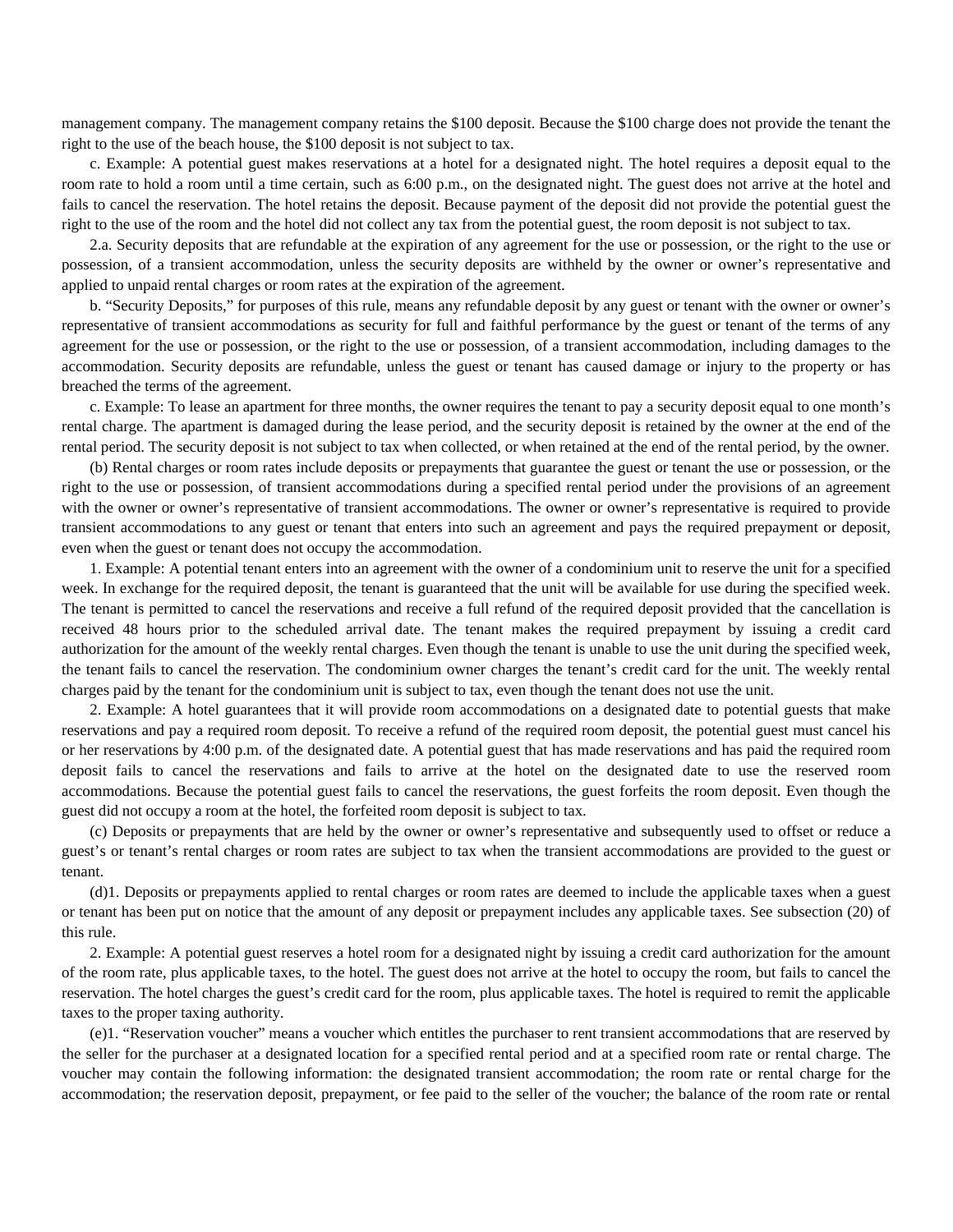management company. The management company retains the \$100 deposit. Because the \$100 charge does not provide the tenant the right to the use of the beach house, the \$100 deposit is not subject to tax.

c. Example: A potential guest makes reservations at a hotel for a designated night. The hotel requires a deposit equal to the room rate to hold a room until a time certain, such as 6:00 p.m., on the designated night. The guest does not arrive at the hotel and fails to cancel the reservation. The hotel retains the deposit. Because payment of the deposit did not provide the potential guest the right to the use of the room and the hotel did not collect any tax from the potential guest, the room deposit is not subject to tax.

2.a. Security deposits that are refundable at the expiration of any agreement for the use or possession, or the right to the use or possession, of a transient accommodation, unless the security deposits are withheld by the owner or owner's representative and applied to unpaid rental charges or room rates at the expiration of the agreement.

b. "Security Deposits," for purposes of this rule, means any refundable deposit by any guest or tenant with the owner or owner's representative of transient accommodations as security for full and faithful performance by the guest or tenant of the terms of any agreement for the use or possession, or the right to the use or possession, of a transient accommodation, including damages to the accommodation. Security deposits are refundable, unless the guest or tenant has caused damage or injury to the property or has breached the terms of the agreement.

c. Example: To lease an apartment for three months, the owner requires the tenant to pay a security deposit equal to one month's rental charge. The apartment is damaged during the lease period, and the security deposit is retained by the owner at the end of the rental period. The security deposit is not subject to tax when collected, or when retained at the end of the rental period, by the owner.

(b) Rental charges or room rates include deposits or prepayments that guarantee the guest or tenant the use or possession, or the right to the use or possession, of transient accommodations during a specified rental period under the provisions of an agreement with the owner or owner's representative of transient accommodations. The owner or owner's representative is required to provide transient accommodations to any guest or tenant that enters into such an agreement and pays the required prepayment or deposit, even when the guest or tenant does not occupy the accommodation.

1. Example: A potential tenant enters into an agreement with the owner of a condominium unit to reserve the unit for a specified week. In exchange for the required deposit, the tenant is guaranteed that the unit will be available for use during the specified week. The tenant is permitted to cancel the reservations and receive a full refund of the required deposit provided that the cancellation is received 48 hours prior to the scheduled arrival date. The tenant makes the required prepayment by issuing a credit card authorization for the amount of the weekly rental charges. Even though the tenant is unable to use the unit during the specified week, the tenant fails to cancel the reservation. The condominium owner charges the tenant's credit card for the unit. The weekly rental charges paid by the tenant for the condominium unit is subject to tax, even though the tenant does not use the unit.

2. Example: A hotel guarantees that it will provide room accommodations on a designated date to potential guests that make reservations and pay a required room deposit. To receive a refund of the required room deposit, the potential guest must cancel his or her reservations by 4:00 p.m. of the designated date. A potential guest that has made reservations and has paid the required room deposit fails to cancel the reservations and fails to arrive at the hotel on the designated date to use the reserved room accommodations. Because the potential guest fails to cancel the reservations, the guest forfeits the room deposit. Even though the guest did not occupy a room at the hotel, the forfeited room deposit is subject to tax.

(c) Deposits or prepayments that are held by the owner or owner's representative and subsequently used to offset or reduce a guest's or tenant's rental charges or room rates are subject to tax when the transient accommodations are provided to the guest or tenant.

(d)1. Deposits or prepayments applied to rental charges or room rates are deemed to include the applicable taxes when a guest or tenant has been put on notice that the amount of any deposit or prepayment includes any applicable taxes. See subsection (20) of this rule.

2. Example: A potential guest reserves a hotel room for a designated night by issuing a credit card authorization for the amount of the room rate, plus applicable taxes, to the hotel. The guest does not arrive at the hotel to occupy the room, but fails to cancel the reservation. The hotel charges the guest's credit card for the room, plus applicable taxes. The hotel is required to remit the applicable taxes to the proper taxing authority.

(e)1. "Reservation voucher" means a voucher which entitles the purchaser to rent transient accommodations that are reserved by the seller for the purchaser at a designated location for a specified rental period and at a specified room rate or rental charge. The voucher may contain the following information: the designated transient accommodation; the room rate or rental charge for the accommodation; the reservation deposit, prepayment, or fee paid to the seller of the voucher; the balance of the room rate or rental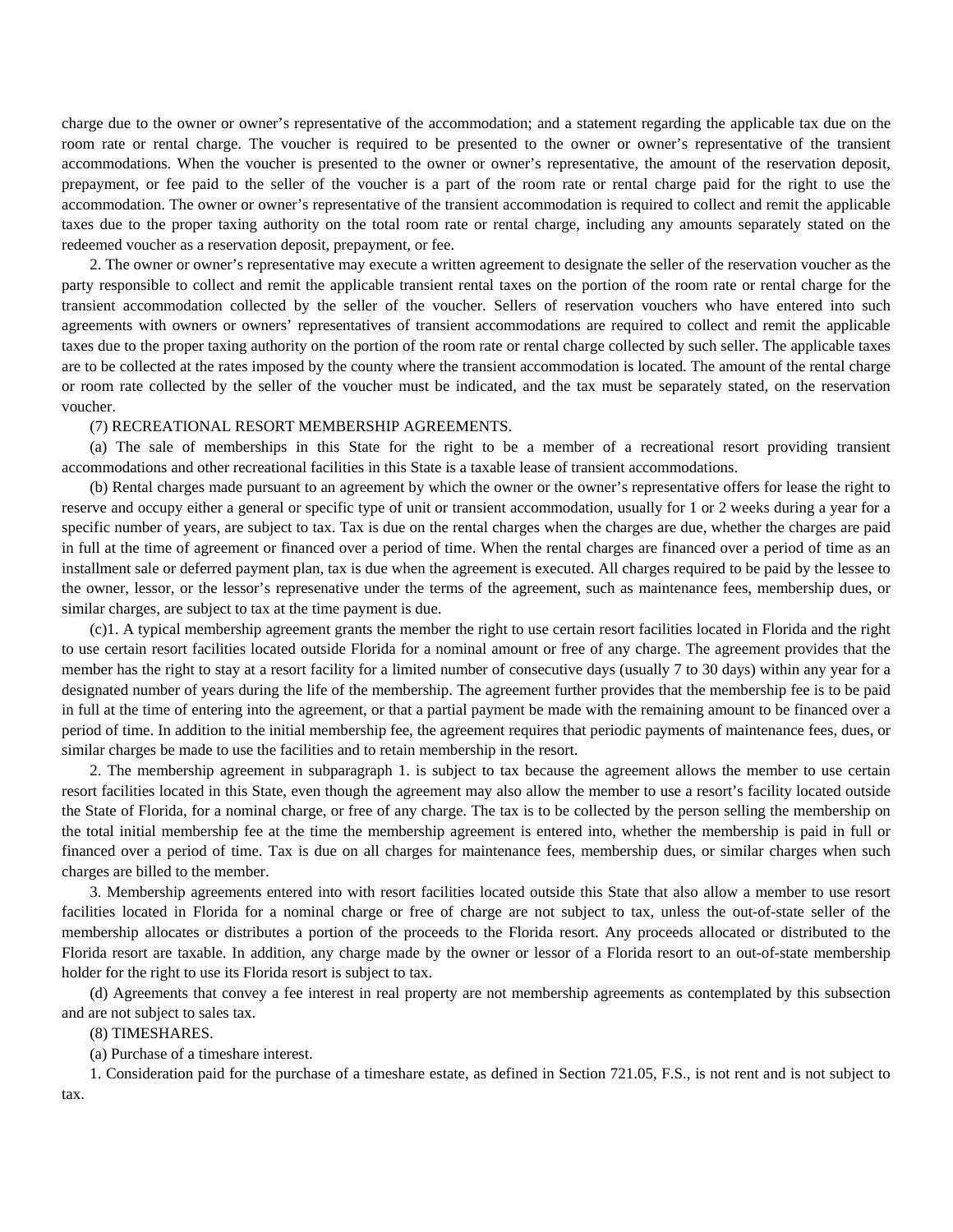charge due to the owner or owner's representative of the accommodation; and a statement regarding the applicable tax due on the room rate or rental charge. The voucher is required to be presented to the owner or owner's representative of the transient accommodations. When the voucher is presented to the owner or owner's representative, the amount of the reservation deposit, prepayment, or fee paid to the seller of the voucher is a part of the room rate or rental charge paid for the right to use the accommodation. The owner or owner's representative of the transient accommodation is required to collect and remit the applicable taxes due to the proper taxing authority on the total room rate or rental charge, including any amounts separately stated on the redeemed voucher as a reservation deposit, prepayment, or fee.

2. The owner or owner's representative may execute a written agreement to designate the seller of the reservation voucher as the party responsible to collect and remit the applicable transient rental taxes on the portion of the room rate or rental charge for the transient accommodation collected by the seller of the voucher. Sellers of reservation vouchers who have entered into such agreements with owners or owners' representatives of transient accommodations are required to collect and remit the applicable taxes due to the proper taxing authority on the portion of the room rate or rental charge collected by such seller. The applicable taxes are to be collected at the rates imposed by the county where the transient accommodation is located. The amount of the rental charge or room rate collected by the seller of the voucher must be indicated, and the tax must be separately stated, on the reservation voucher.

## (7) RECREATIONAL RESORT MEMBERSHIP AGREEMENTS.

(a) The sale of memberships in this State for the right to be a member of a recreational resort providing transient accommodations and other recreational facilities in this State is a taxable lease of transient accommodations.

(b) Rental charges made pursuant to an agreement by which the owner or the owner's representative offers for lease the right to reserve and occupy either a general or specific type of unit or transient accommodation, usually for 1 or 2 weeks during a year for a specific number of years, are subject to tax. Tax is due on the rental charges when the charges are due, whether the charges are paid in full at the time of agreement or financed over a period of time. When the rental charges are financed over a period of time as an installment sale or deferred payment plan, tax is due when the agreement is executed. All charges required to be paid by the lessee to the owner, lessor, or the lessor's represenative under the terms of the agreement, such as maintenance fees, membership dues, or similar charges, are subject to tax at the time payment is due.

(c)1. A typical membership agreement grants the member the right to use certain resort facilities located in Florida and the right to use certain resort facilities located outside Florida for a nominal amount or free of any charge. The agreement provides that the member has the right to stay at a resort facility for a limited number of consecutive days (usually 7 to 30 days) within any year for a designated number of years during the life of the membership. The agreement further provides that the membership fee is to be paid in full at the time of entering into the agreement, or that a partial payment be made with the remaining amount to be financed over a period of time. In addition to the initial membership fee, the agreement requires that periodic payments of maintenance fees, dues, or similar charges be made to use the facilities and to retain membership in the resort.

2. The membership agreement in subparagraph 1. is subject to tax because the agreement allows the member to use certain resort facilities located in this State, even though the agreement may also allow the member to use a resort's facility located outside the State of Florida, for a nominal charge, or free of any charge. The tax is to be collected by the person selling the membership on the total initial membership fee at the time the membership agreement is entered into, whether the membership is paid in full or financed over a period of time. Tax is due on all charges for maintenance fees, membership dues, or similar charges when such charges are billed to the member.

3. Membership agreements entered into with resort facilities located outside this State that also allow a member to use resort facilities located in Florida for a nominal charge or free of charge are not subject to tax, unless the out-of-state seller of the membership allocates or distributes a portion of the proceeds to the Florida resort. Any proceeds allocated or distributed to the Florida resort are taxable. In addition, any charge made by the owner or lessor of a Florida resort to an out-of-state membership holder for the right to use its Florida resort is subject to tax.

(d) Agreements that convey a fee interest in real property are not membership agreements as contemplated by this subsection and are not subject to sales tax.

## (8) TIMESHARES.

(a) Purchase of a timeshare interest.

1. Consideration paid for the purchase of a timeshare estate, as defined in Section 721.05, F.S., is not rent and is not subject to tax.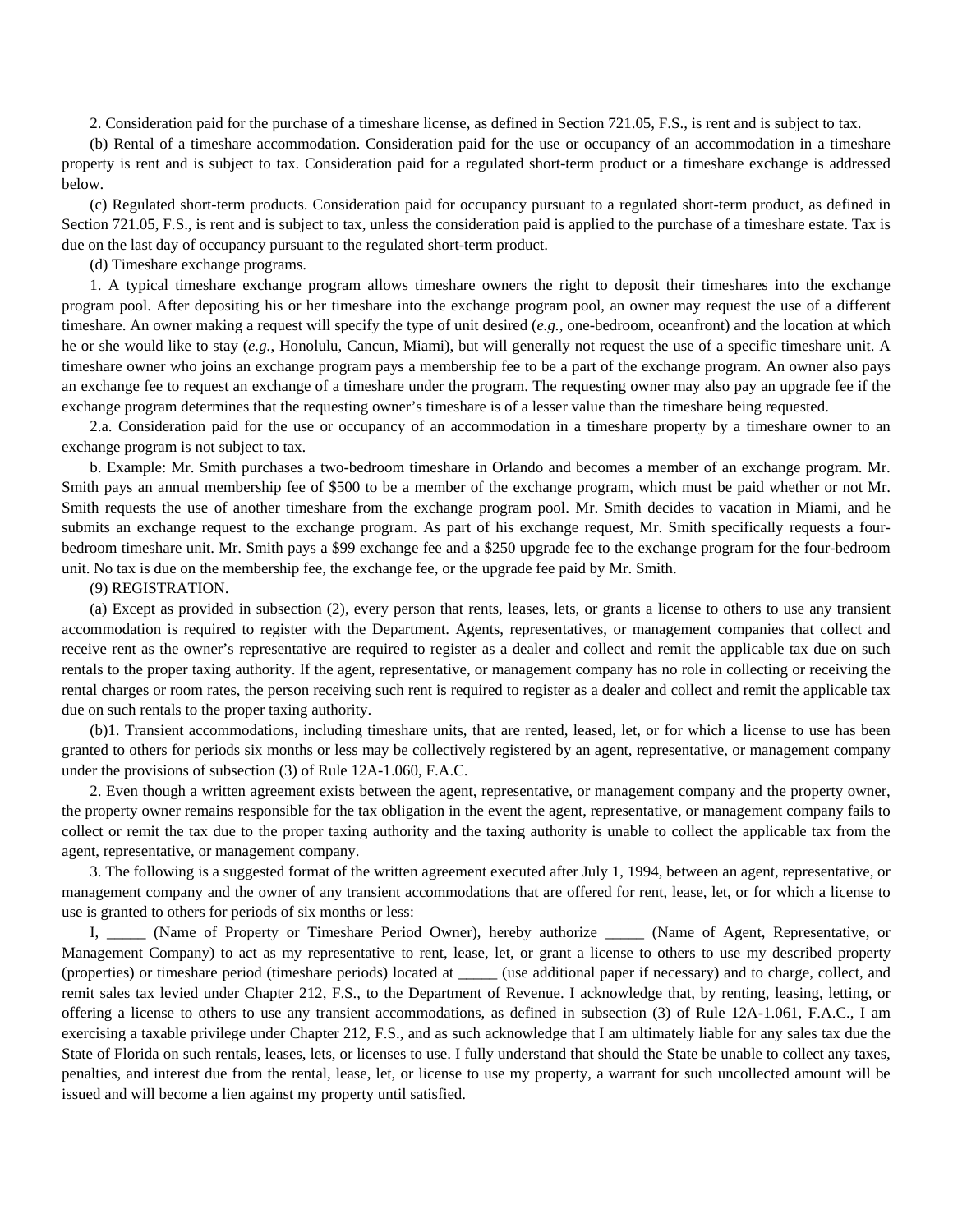2. Consideration paid for the purchase of a timeshare license, as defined in Section 721.05, F.S., is rent and is subject to tax.

(b) Rental of a timeshare accommodation. Consideration paid for the use or occupancy of an accommodation in a timeshare property is rent and is subject to tax. Consideration paid for a regulated short-term product or a timeshare exchange is addressed below.

(c) Regulated short-term products. Consideration paid for occupancy pursuant to a regulated short-term product, as defined in Section 721.05, F.S., is rent and is subject to tax, unless the consideration paid is applied to the purchase of a timeshare estate. Tax is due on the last day of occupancy pursuant to the regulated short-term product.

(d) Timeshare exchange programs.

1. A typical timeshare exchange program allows timeshare owners the right to deposit their timeshares into the exchange program pool. After depositing his or her timeshare into the exchange program pool, an owner may request the use of a different timeshare. An owner making a request will specify the type of unit desired (*e.g.*, one-bedroom, oceanfront) and the location at which he or she would like to stay (*e.g.*, Honolulu, Cancun, Miami), but will generally not request the use of a specific timeshare unit. A timeshare owner who joins an exchange program pays a membership fee to be a part of the exchange program. An owner also pays an exchange fee to request an exchange of a timeshare under the program. The requesting owner may also pay an upgrade fee if the exchange program determines that the requesting owner's timeshare is of a lesser value than the timeshare being requested.

2.a. Consideration paid for the use or occupancy of an accommodation in a timeshare property by a timeshare owner to an exchange program is not subject to tax.

b. Example: Mr. Smith purchases a two-bedroom timeshare in Orlando and becomes a member of an exchange program. Mr. Smith pays an annual membership fee of \$500 to be a member of the exchange program, which must be paid whether or not Mr. Smith requests the use of another timeshare from the exchange program pool. Mr. Smith decides to vacation in Miami, and he submits an exchange request to the exchange program. As part of his exchange request, Mr. Smith specifically requests a fourbedroom timeshare unit. Mr. Smith pays a \$99 exchange fee and a \$250 upgrade fee to the exchange program for the four-bedroom unit. No tax is due on the membership fee, the exchange fee, or the upgrade fee paid by Mr. Smith.

### (9) REGISTRATION.

(a) Except as provided in subsection (2), every person that rents, leases, lets, or grants a license to others to use any transient accommodation is required to register with the Department. Agents, representatives, or management companies that collect and receive rent as the owner's representative are required to register as a dealer and collect and remit the applicable tax due on such rentals to the proper taxing authority. If the agent, representative, or management company has no role in collecting or receiving the rental charges or room rates, the person receiving such rent is required to register as a dealer and collect and remit the applicable tax due on such rentals to the proper taxing authority.

(b)1. Transient accommodations, including timeshare units, that are rented, leased, let, or for which a license to use has been granted to others for periods six months or less may be collectively registered by an agent, representative, or management company under the provisions of subsection (3) of Rule 12A-1.060, F.A.C.

2. Even though a written agreement exists between the agent, representative, or management company and the property owner, the property owner remains responsible for the tax obligation in the event the agent, representative, or management company fails to collect or remit the tax due to the proper taxing authority and the taxing authority is unable to collect the applicable tax from the agent, representative, or management company.

3. The following is a suggested format of the written agreement executed after July 1, 1994, between an agent, representative, or management company and the owner of any transient accommodations that are offered for rent, lease, let, or for which a license to use is granted to others for periods of six months or less:

I, \_\_\_\_\_ (Name of Property or Timeshare Period Owner), hereby authorize \_\_\_\_\_ (Name of Agent, Representative, or Management Company) to act as my representative to rent, lease, let, or grant a license to others to use my described property (properties) or timeshare period (timeshare periods) located at \_\_\_\_\_ (use additional paper if necessary) and to charge, collect, and remit sales tax levied under Chapter 212, F.S., to the Department of Revenue. I acknowledge that, by renting, leasing, letting, or offering a license to others to use any transient accommodations, as defined in subsection (3) of Rule 12A-1.061, F.A.C., I am exercising a taxable privilege under Chapter 212, F.S., and as such acknowledge that I am ultimately liable for any sales tax due the State of Florida on such rentals, leases, lets, or licenses to use. I fully understand that should the State be unable to collect any taxes, penalties, and interest due from the rental, lease, let, or license to use my property, a warrant for such uncollected amount will be issued and will become a lien against my property until satisfied.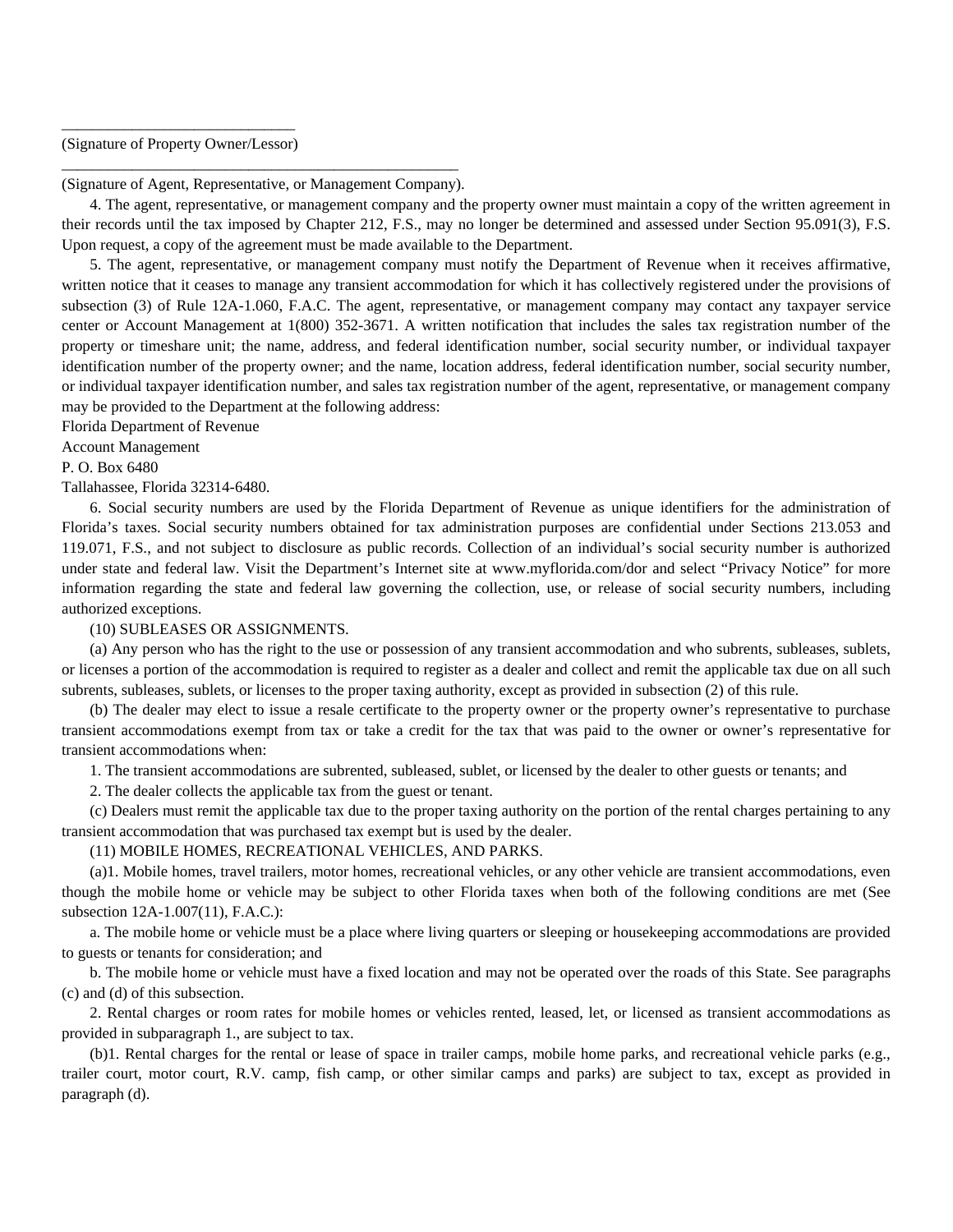# \_\_\_\_\_\_\_\_\_\_\_\_\_\_\_\_\_\_\_\_\_\_\_\_\_\_\_\_\_\_ (Signature of Property Owner/Lessor)

\_\_\_\_\_\_\_\_\_\_\_\_\_\_\_\_\_\_\_\_\_\_\_\_\_\_\_\_\_\_\_\_\_\_\_\_\_\_\_\_\_\_\_\_\_\_\_\_\_\_\_ (Signature of Agent, Representative, or Management Company).

4. The agent, representative, or management company and the property owner must maintain a copy of the written agreement in their records until the tax imposed by Chapter 212, F.S., may no longer be determined and assessed under Section 95.091(3), F.S. Upon request, a copy of the agreement must be made available to the Department.

5. The agent, representative, or management company must notify the Department of Revenue when it receives affirmative, written notice that it ceases to manage any transient accommodation for which it has collectively registered under the provisions of subsection (3) of Rule 12A-1.060, F.A.C. The agent, representative, or management company may contact any taxpayer service center or Account Management at 1(800) 352-3671. A written notification that includes the sales tax registration number of the property or timeshare unit; the name, address, and federal identification number, social security number, or individual taxpayer identification number of the property owner; and the name, location address, federal identification number, social security number, or individual taxpayer identification number, and sales tax registration number of the agent, representative, or management company may be provided to the Department at the following address:

Florida Department of Revenue

# Account Management

P. O. Box 6480

## Tallahassee, Florida 32314-6480.

6. Social security numbers are used by the Florida Department of Revenue as unique identifiers for the administration of Florida's taxes. Social security numbers obtained for tax administration purposes are confidential under Sections 213.053 and 119.071, F.S., and not subject to disclosure as public records. Collection of an individual's social security number is authorized under state and federal law. Visit the Department's Internet site at www.myflorida.com/dor and select "Privacy Notice" for more information regarding the state and federal law governing the collection, use, or release of social security numbers, including authorized exceptions.

## (10) SUBLEASES OR ASSIGNMENTS.

(a) Any person who has the right to the use or possession of any transient accommodation and who subrents, subleases, sublets, or licenses a portion of the accommodation is required to register as a dealer and collect and remit the applicable tax due on all such subrents, subleases, sublets, or licenses to the proper taxing authority, except as provided in subsection (2) of this rule.

(b) The dealer may elect to issue a resale certificate to the property owner or the property owner's representative to purchase transient accommodations exempt from tax or take a credit for the tax that was paid to the owner or owner's representative for transient accommodations when:

1. The transient accommodations are subrented, subleased, sublet, or licensed by the dealer to other guests or tenants; and

2. The dealer collects the applicable tax from the guest or tenant.

(c) Dealers must remit the applicable tax due to the proper taxing authority on the portion of the rental charges pertaining to any transient accommodation that was purchased tax exempt but is used by the dealer.

# (11) MOBILE HOMES, RECREATIONAL VEHICLES, AND PARKS.

(a)1. Mobile homes, travel trailers, motor homes, recreational vehicles, or any other vehicle are transient accommodations, even though the mobile home or vehicle may be subject to other Florida taxes when both of the following conditions are met (See subsection 12A-1.007(11), F.A.C.):

a. The mobile home or vehicle must be a place where living quarters or sleeping or housekeeping accommodations are provided to guests or tenants for consideration; and

b. The mobile home or vehicle must have a fixed location and may not be operated over the roads of this State. See paragraphs (c) and (d) of this subsection.

2. Rental charges or room rates for mobile homes or vehicles rented, leased, let, or licensed as transient accommodations as provided in subparagraph 1., are subject to tax.

(b)1. Rental charges for the rental or lease of space in trailer camps, mobile home parks, and recreational vehicle parks (e.g., trailer court, motor court, R.V. camp, fish camp, or other similar camps and parks) are subject to tax, except as provided in paragraph (d).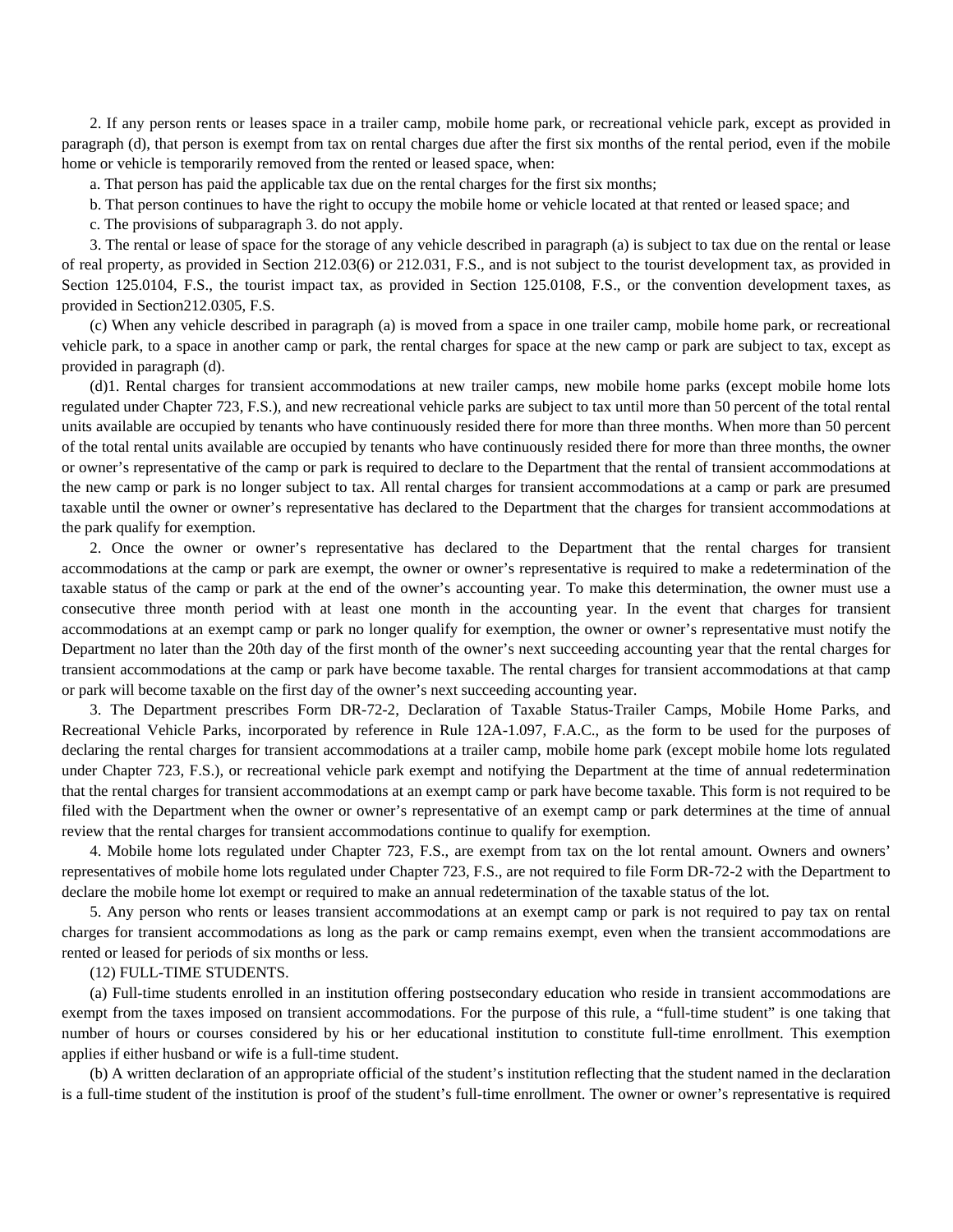2. If any person rents or leases space in a trailer camp, mobile home park, or recreational vehicle park, except as provided in paragraph (d), that person is exempt from tax on rental charges due after the first six months of the rental period, even if the mobile home or vehicle is temporarily removed from the rented or leased space, when:

a. That person has paid the applicable tax due on the rental charges for the first six months;

b. That person continues to have the right to occupy the mobile home or vehicle located at that rented or leased space; and

c. The provisions of subparagraph 3. do not apply.

3. The rental or lease of space for the storage of any vehicle described in paragraph (a) is subject to tax due on the rental or lease of real property, as provided in Section 212.03(6) or 212.031, F.S., and is not subject to the tourist development tax, as provided in Section 125.0104, F.S., the tourist impact tax, as provided in Section 125.0108, F.S., or the convention development taxes, as provided in Section212.0305, F.S.

(c) When any vehicle described in paragraph (a) is moved from a space in one trailer camp, mobile home park, or recreational vehicle park, to a space in another camp or park, the rental charges for space at the new camp or park are subject to tax, except as provided in paragraph (d).

(d)1. Rental charges for transient accommodations at new trailer camps, new mobile home parks (except mobile home lots regulated under Chapter 723, F.S.), and new recreational vehicle parks are subject to tax until more than 50 percent of the total rental units available are occupied by tenants who have continuously resided there for more than three months. When more than 50 percent of the total rental units available are occupied by tenants who have continuously resided there for more than three months, the owner or owner's representative of the camp or park is required to declare to the Department that the rental of transient accommodations at the new camp or park is no longer subject to tax. All rental charges for transient accommodations at a camp or park are presumed taxable until the owner or owner's representative has declared to the Department that the charges for transient accommodations at the park qualify for exemption.

2. Once the owner or owner's representative has declared to the Department that the rental charges for transient accommodations at the camp or park are exempt, the owner or owner's representative is required to make a redetermination of the taxable status of the camp or park at the end of the owner's accounting year. To make this determination, the owner must use a consecutive three month period with at least one month in the accounting year. In the event that charges for transient accommodations at an exempt camp or park no longer qualify for exemption, the owner or owner's representative must notify the Department no later than the 20th day of the first month of the owner's next succeeding accounting year that the rental charges for transient accommodations at the camp or park have become taxable. The rental charges for transient accommodations at that camp or park will become taxable on the first day of the owner's next succeeding accounting year.

3. The Department prescribes Form DR-72-2, Declaration of Taxable Status-Trailer Camps, Mobile Home Parks, and Recreational Vehicle Parks, incorporated by reference in Rule 12A-1.097, F.A.C., as the form to be used for the purposes of declaring the rental charges for transient accommodations at a trailer camp, mobile home park (except mobile home lots regulated under Chapter 723, F.S.), or recreational vehicle park exempt and notifying the Department at the time of annual redetermination that the rental charges for transient accommodations at an exempt camp or park have become taxable. This form is not required to be filed with the Department when the owner or owner's representative of an exempt camp or park determines at the time of annual review that the rental charges for transient accommodations continue to qualify for exemption.

4. Mobile home lots regulated under Chapter 723, F.S., are exempt from tax on the lot rental amount. Owners and owners' representatives of mobile home lots regulated under Chapter 723, F.S., are not required to file Form DR-72-2 with the Department to declare the mobile home lot exempt or required to make an annual redetermination of the taxable status of the lot.

5. Any person who rents or leases transient accommodations at an exempt camp or park is not required to pay tax on rental charges for transient accommodations as long as the park or camp remains exempt, even when the transient accommodations are rented or leased for periods of six months or less.

## (12) FULL-TIME STUDENTS.

(a) Full-time students enrolled in an institution offering postsecondary education who reside in transient accommodations are exempt from the taxes imposed on transient accommodations. For the purpose of this rule, a "full-time student" is one taking that number of hours or courses considered by his or her educational institution to constitute full-time enrollment. This exemption applies if either husband or wife is a full-time student.

(b) A written declaration of an appropriate official of the student's institution reflecting that the student named in the declaration is a full-time student of the institution is proof of the student's full-time enrollment. The owner or owner's representative is required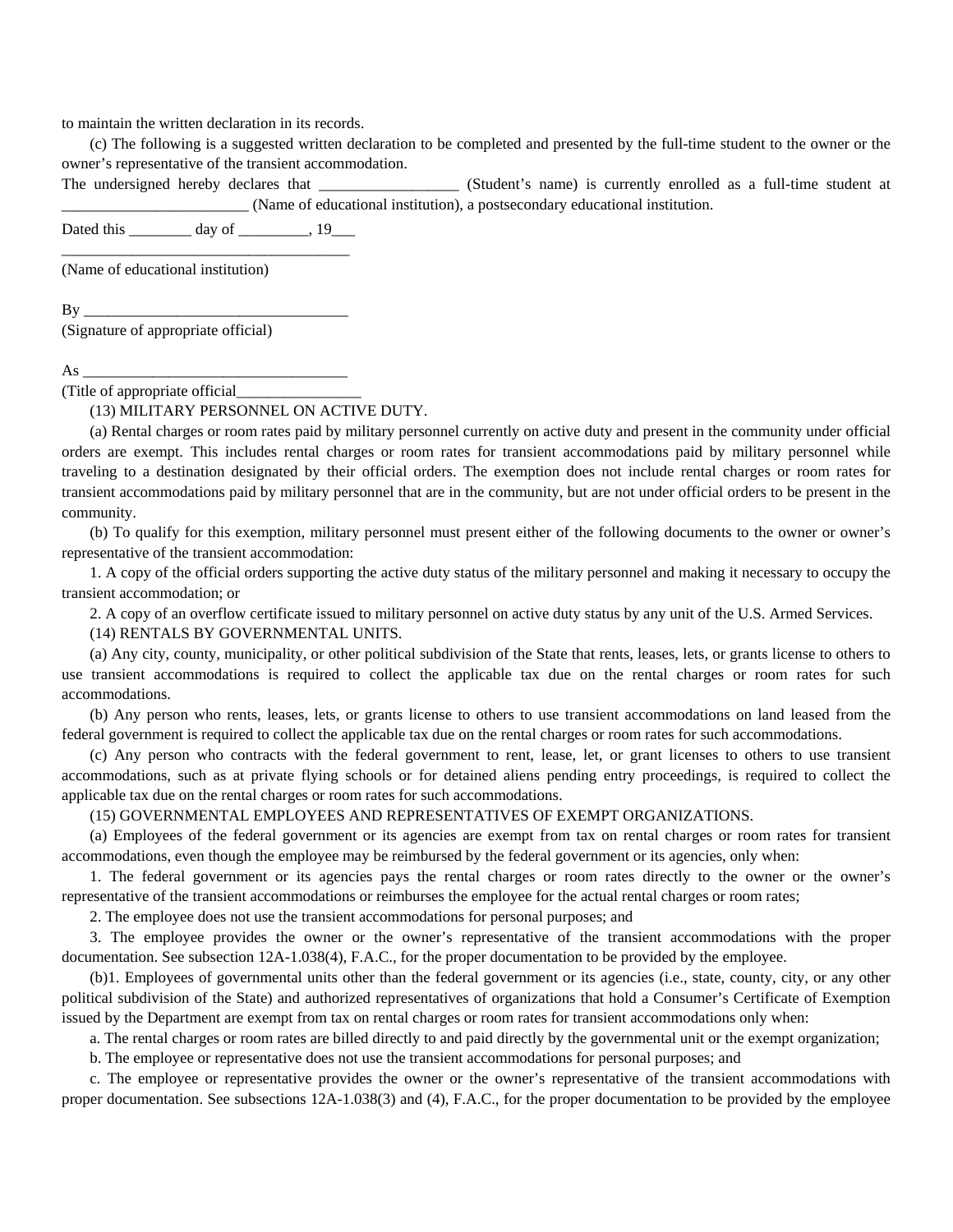to maintain the written declaration in its records.

(c) The following is a suggested written declaration to be completed and presented by the full-time student to the owner or the owner's representative of the transient accommodation.

The undersigned hereby declares that  $(Student's name)$  is currently enrolled as a full-time student at \_\_\_\_\_\_\_\_\_\_\_\_\_\_\_\_\_\_\_\_\_\_\_\_ (Name of educational institution), a postsecondary educational institution.

Dated this day of 19 \_\_\_\_\_\_\_\_\_\_\_\_\_\_\_\_\_\_\_\_\_\_\_\_\_\_\_\_\_\_\_\_\_\_\_\_\_

(Name of educational institution)

 $\mathbf{B} \mathbf{y}$ 

(Signature of appropriate official)

As \_\_\_\_\_\_\_\_\_\_\_\_\_\_\_\_\_\_\_\_\_\_\_\_\_\_\_\_\_\_\_\_\_\_

(Title of appropriate official\_\_\_\_\_\_\_\_\_\_\_\_\_\_\_\_

(13) MILITARY PERSONNEL ON ACTIVE DUTY.

(a) Rental charges or room rates paid by military personnel currently on active duty and present in the community under official orders are exempt. This includes rental charges or room rates for transient accommodations paid by military personnel while traveling to a destination designated by their official orders. The exemption does not include rental charges or room rates for transient accommodations paid by military personnel that are in the community, but are not under official orders to be present in the community.

(b) To qualify for this exemption, military personnel must present either of the following documents to the owner or owner's representative of the transient accommodation:

1. A copy of the official orders supporting the active duty status of the military personnel and making it necessary to occupy the transient accommodation; or

2. A copy of an overflow certificate issued to military personnel on active duty status by any unit of the U.S. Armed Services. (14) RENTALS BY GOVERNMENTAL UNITS.

(a) Any city, county, municipality, or other political subdivision of the State that rents, leases, lets, or grants license to others to use transient accommodations is required to collect the applicable tax due on the rental charges or room rates for such accommodations.

(b) Any person who rents, leases, lets, or grants license to others to use transient accommodations on land leased from the federal government is required to collect the applicable tax due on the rental charges or room rates for such accommodations.

(c) Any person who contracts with the federal government to rent, lease, let, or grant licenses to others to use transient accommodations, such as at private flying schools or for detained aliens pending entry proceedings, is required to collect the applicable tax due on the rental charges or room rates for such accommodations.

(15) GOVERNMENTAL EMPLOYEES AND REPRESENTATIVES OF EXEMPT ORGANIZATIONS.

(a) Employees of the federal government or its agencies are exempt from tax on rental charges or room rates for transient accommodations, even though the employee may be reimbursed by the federal government or its agencies, only when:

1. The federal government or its agencies pays the rental charges or room rates directly to the owner or the owner's representative of the transient accommodations or reimburses the employee for the actual rental charges or room rates;

2. The employee does not use the transient accommodations for personal purposes; and

3. The employee provides the owner or the owner's representative of the transient accommodations with the proper documentation. See subsection 12A-1.038(4), F.A.C., for the proper documentation to be provided by the employee.

(b)1. Employees of governmental units other than the federal government or its agencies (i.e., state, county, city, or any other political subdivision of the State) and authorized representatives of organizations that hold a Consumer's Certificate of Exemption issued by the Department are exempt from tax on rental charges or room rates for transient accommodations only when:

a. The rental charges or room rates are billed directly to and paid directly by the governmental unit or the exempt organization;

b. The employee or representative does not use the transient accommodations for personal purposes; and

c. The employee or representative provides the owner or the owner's representative of the transient accommodations with proper documentation. See subsections 12A-1.038(3) and (4), F.A.C., for the proper documentation to be provided by the employee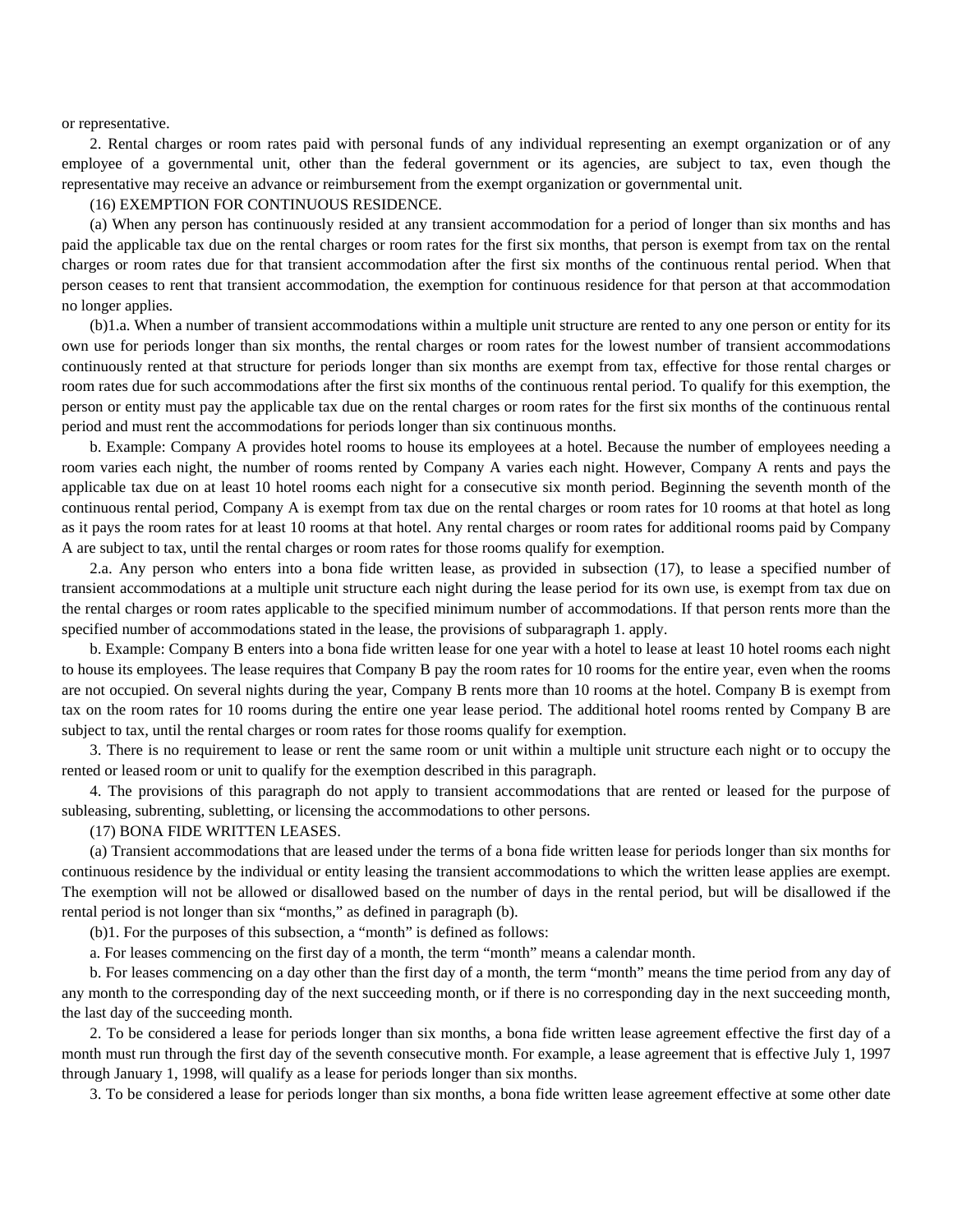or representative.

2. Rental charges or room rates paid with personal funds of any individual representing an exempt organization or of any employee of a governmental unit, other than the federal government or its agencies, are subject to tax, even though the representative may receive an advance or reimbursement from the exempt organization or governmental unit.

(16) EXEMPTION FOR CONTINUOUS RESIDENCE.

(a) When any person has continuously resided at any transient accommodation for a period of longer than six months and has paid the applicable tax due on the rental charges or room rates for the first six months, that person is exempt from tax on the rental charges or room rates due for that transient accommodation after the first six months of the continuous rental period. When that person ceases to rent that transient accommodation, the exemption for continuous residence for that person at that accommodation no longer applies.

(b)1.a. When a number of transient accommodations within a multiple unit structure are rented to any one person or entity for its own use for periods longer than six months, the rental charges or room rates for the lowest number of transient accommodations continuously rented at that structure for periods longer than six months are exempt from tax, effective for those rental charges or room rates due for such accommodations after the first six months of the continuous rental period. To qualify for this exemption, the person or entity must pay the applicable tax due on the rental charges or room rates for the first six months of the continuous rental period and must rent the accommodations for periods longer than six continuous months.

b. Example: Company A provides hotel rooms to house its employees at a hotel. Because the number of employees needing a room varies each night, the number of rooms rented by Company A varies each night. However, Company A rents and pays the applicable tax due on at least 10 hotel rooms each night for a consecutive six month period. Beginning the seventh month of the continuous rental period, Company A is exempt from tax due on the rental charges or room rates for 10 rooms at that hotel as long as it pays the room rates for at least 10 rooms at that hotel. Any rental charges or room rates for additional rooms paid by Company A are subject to tax, until the rental charges or room rates for those rooms qualify for exemption.

2.a. Any person who enters into a bona fide written lease, as provided in subsection (17), to lease a specified number of transient accommodations at a multiple unit structure each night during the lease period for its own use, is exempt from tax due on the rental charges or room rates applicable to the specified minimum number of accommodations. If that person rents more than the specified number of accommodations stated in the lease, the provisions of subparagraph 1. apply.

b. Example: Company B enters into a bona fide written lease for one year with a hotel to lease at least 10 hotel rooms each night to house its employees. The lease requires that Company B pay the room rates for 10 rooms for the entire year, even when the rooms are not occupied. On several nights during the year, Company B rents more than 10 rooms at the hotel. Company B is exempt from tax on the room rates for 10 rooms during the entire one year lease period. The additional hotel rooms rented by Company B are subject to tax, until the rental charges or room rates for those rooms qualify for exemption.

3. There is no requirement to lease or rent the same room or unit within a multiple unit structure each night or to occupy the rented or leased room or unit to qualify for the exemption described in this paragraph.

4. The provisions of this paragraph do not apply to transient accommodations that are rented or leased for the purpose of subleasing, subrenting, subletting, or licensing the accommodations to other persons.

(17) BONA FIDE WRITTEN LEASES.

(a) Transient accommodations that are leased under the terms of a bona fide written lease for periods longer than six months for continuous residence by the individual or entity leasing the transient accommodations to which the written lease applies are exempt. The exemption will not be allowed or disallowed based on the number of days in the rental period, but will be disallowed if the rental period is not longer than six "months," as defined in paragraph (b).

(b)1. For the purposes of this subsection, a "month" is defined as follows:

a. For leases commencing on the first day of a month, the term "month" means a calendar month.

b. For leases commencing on a day other than the first day of a month, the term "month" means the time period from any day of any month to the corresponding day of the next succeeding month, or if there is no corresponding day in the next succeeding month, the last day of the succeeding month.

2. To be considered a lease for periods longer than six months, a bona fide written lease agreement effective the first day of a month must run through the first day of the seventh consecutive month. For example, a lease agreement that is effective July 1, 1997 through January 1, 1998, will qualify as a lease for periods longer than six months.

3. To be considered a lease for periods longer than six months, a bona fide written lease agreement effective at some other date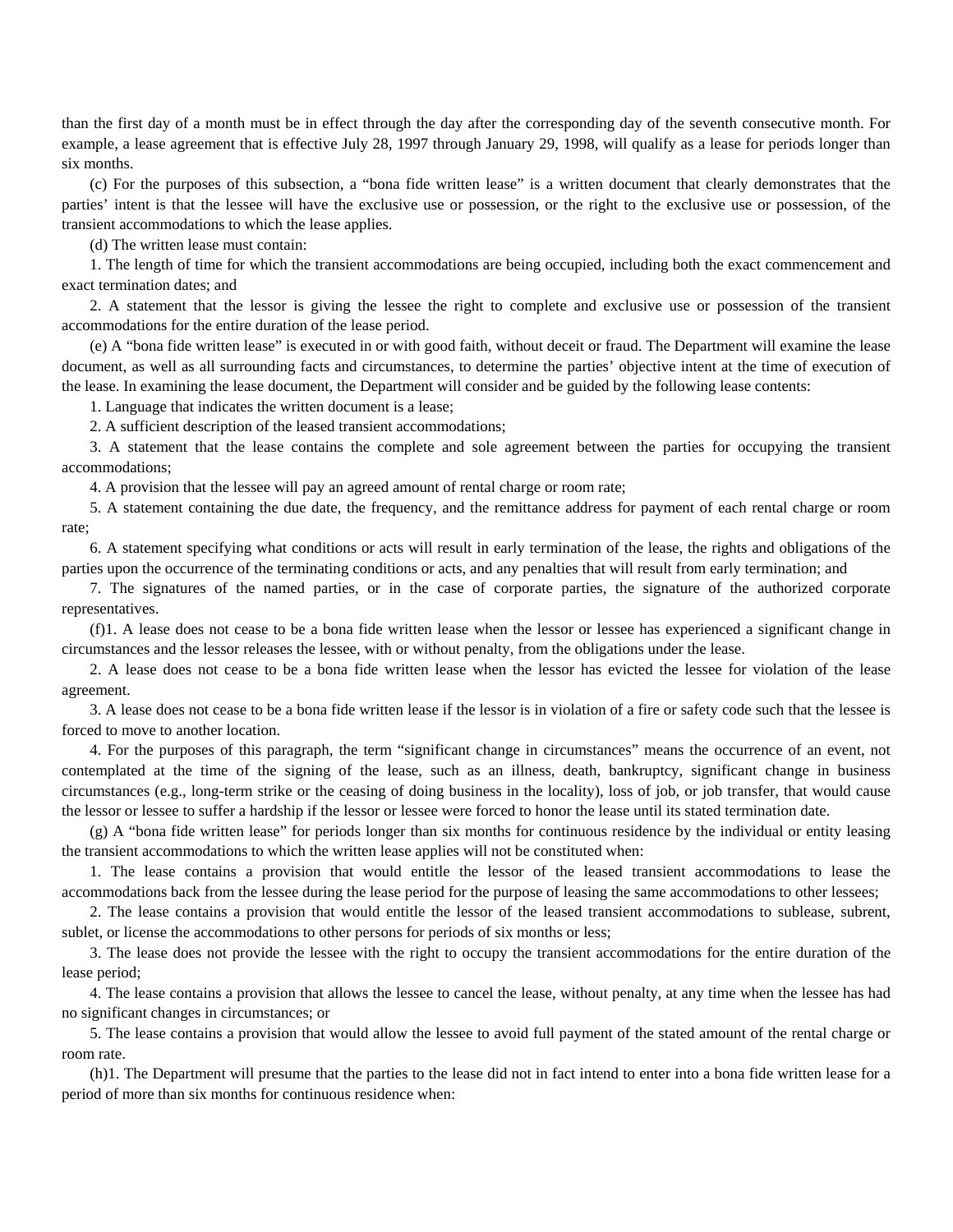than the first day of a month must be in effect through the day after the corresponding day of the seventh consecutive month. For example, a lease agreement that is effective July 28, 1997 through January 29, 1998, will qualify as a lease for periods longer than six months.

(c) For the purposes of this subsection, a "bona fide written lease" is a written document that clearly demonstrates that the parties' intent is that the lessee will have the exclusive use or possession, or the right to the exclusive use or possession, of the transient accommodations to which the lease applies.

(d) The written lease must contain:

1. The length of time for which the transient accommodations are being occupied, including both the exact commencement and exact termination dates; and

2. A statement that the lessor is giving the lessee the right to complete and exclusive use or possession of the transient accommodations for the entire duration of the lease period.

(e) A "bona fide written lease" is executed in or with good faith, without deceit or fraud. The Department will examine the lease document, as well as all surrounding facts and circumstances, to determine the parties' objective intent at the time of execution of the lease. In examining the lease document, the Department will consider and be guided by the following lease contents:

1. Language that indicates the written document is a lease;

2. A sufficient description of the leased transient accommodations;

3. A statement that the lease contains the complete and sole agreement between the parties for occupying the transient accommodations;

4. A provision that the lessee will pay an agreed amount of rental charge or room rate;

5. A statement containing the due date, the frequency, and the remittance address for payment of each rental charge or room rate;

6. A statement specifying what conditions or acts will result in early termination of the lease, the rights and obligations of the parties upon the occurrence of the terminating conditions or acts, and any penalties that will result from early termination; and

7. The signatures of the named parties, or in the case of corporate parties, the signature of the authorized corporate representatives.

(f)1. A lease does not cease to be a bona fide written lease when the lessor or lessee has experienced a significant change in circumstances and the lessor releases the lessee, with or without penalty, from the obligations under the lease.

2. A lease does not cease to be a bona fide written lease when the lessor has evicted the lessee for violation of the lease agreement.

3. A lease does not cease to be a bona fide written lease if the lessor is in violation of a fire or safety code such that the lessee is forced to move to another location.

4. For the purposes of this paragraph, the term "significant change in circumstances" means the occurrence of an event, not contemplated at the time of the signing of the lease, such as an illness, death, bankruptcy, significant change in business circumstances (e.g., long-term strike or the ceasing of doing business in the locality), loss of job, or job transfer, that would cause the lessor or lessee to suffer a hardship if the lessor or lessee were forced to honor the lease until its stated termination date.

(g) A "bona fide written lease" for periods longer than six months for continuous residence by the individual or entity leasing the transient accommodations to which the written lease applies will not be constituted when:

1. The lease contains a provision that would entitle the lessor of the leased transient accommodations to lease the accommodations back from the lessee during the lease period for the purpose of leasing the same accommodations to other lessees;

2. The lease contains a provision that would entitle the lessor of the leased transient accommodations to sublease, subrent, sublet, or license the accommodations to other persons for periods of six months or less;

3. The lease does not provide the lessee with the right to occupy the transient accommodations for the entire duration of the lease period;

4. The lease contains a provision that allows the lessee to cancel the lease, without penalty, at any time when the lessee has had no significant changes in circumstances; or

5. The lease contains a provision that would allow the lessee to avoid full payment of the stated amount of the rental charge or room rate.

(h)1. The Department will presume that the parties to the lease did not in fact intend to enter into a bona fide written lease for a period of more than six months for continuous residence when: